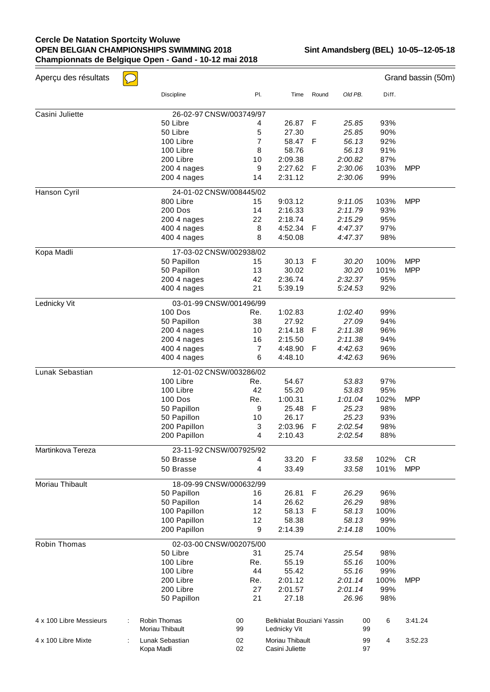## **Cercle De Natation Sportcity Woluwe OPEN BELGIAN CHAMPIONSHIPS SWIMMING 2018 Championnats de Belgique Open - Gand - 10-12 mai 2018**

| Aperçu des résultats    | $\setminus$             |     |                            |             |         |      |       | Grand bassin (50m) |
|-------------------------|-------------------------|-----|----------------------------|-------------|---------|------|-------|--------------------|
|                         | <b>Discipline</b>       | PI. | Time                       | Round       | Old PB. |      | Diff. |                    |
| Casini Juliette         | 26-02-97 CNSW/003749/97 |     |                            |             |         |      |       |                    |
|                         | 50 Libre                | 4   | 26.87                      | F           | 25.85   |      | 93%   |                    |
|                         | 50 Libre                | 5   | 27.30                      |             | 25.85   |      | 90%   |                    |
|                         | 100 Libre               | 7   | 58.47                      | F           | 56.13   |      | 92%   |                    |
|                         | 100 Libre               | 8   | 58.76                      |             | 56.13   |      | 91%   |                    |
|                         | 200 Libre               | 10  | 2:09.38                    |             | 2:00.82 |      | 87%   |                    |
|                         | 200 4 nages             | 9   | 2:27.62                    | F           | 2:30.06 | 103% |       | <b>MPP</b>         |
|                         | 200 4 nages             | 14  | 2:31.12                    |             | 2:30.06 |      | 99%   |                    |
| Hanson Cyril            | 24-01-02 CNSW/008445/02 |     |                            |             |         |      |       |                    |
|                         | 800 Libre               | 15  | 9:03.12                    |             | 9:11.05 | 103% |       | <b>MPP</b>         |
|                         | 200 Dos                 | 14  | 2:16.33                    |             | 2:11.79 |      | 93%   |                    |
|                         | 200 4 nages             | 22  | 2:18.74                    |             | 2:15.29 |      | 95%   |                    |
|                         | 400 4 nages             | 8   | 4:52.34                    | F           | 4:47.37 |      | 97%   |                    |
|                         | 400 4 nages             | 8   | 4:50.08                    |             | 4:47.37 |      | 98%   |                    |
| Kopa Madli              | 17-03-02 CNSW/002938/02 |     |                            |             |         |      |       |                    |
|                         | 50 Papillon             | 15  | 30.13                      | F           | 30.20   | 100% |       | <b>MPP</b>         |
|                         | 50 Papillon             | 13  | 30.02                      |             | 30.20   | 101% |       | <b>MPP</b>         |
|                         | 200 4 nages             | 42  | 2:36.74                    |             | 2:32.37 |      | 95%   |                    |
|                         | 400 4 nages             | 21  | 5:39.19                    |             | 5:24.53 |      | 92%   |                    |
| Lednicky Vit            | 03-01-99 CNSW/001496/99 |     |                            |             |         |      |       |                    |
|                         | <b>100 Dos</b>          | Re. | 1:02.83                    |             | 1:02.40 |      | 99%   |                    |
|                         | 50 Papillon             | 38  | 27.92                      |             | 27.09   |      | 94%   |                    |
|                         | 200 4 nages             | 10  | 2:14.18                    | F           | 2:11.38 |      | 96%   |                    |
|                         | 200 4 nages             | 16  | 2:15.50                    |             | 2:11.38 |      | 94%   |                    |
|                         | 400 4 nages             | 7   | 4:48.90                    | F           | 4:42.63 |      | 96%   |                    |
|                         | 400 4 nages             | 6   | 4:48.10                    |             | 4:42.63 |      | 96%   |                    |
| Lunak Sebastian         | 12-01-02 CNSW/003286/02 |     |                            |             |         |      |       |                    |
|                         | 100 Libre               | Re. | 54.67                      |             | 53.83   |      | 97%   |                    |
|                         | 100 Libre               | 42  | 55.20                      |             | 53.83   |      | 95%   |                    |
|                         | <b>100 Dos</b>          | Re. | 1:00.31                    |             | 1:01.04 | 102% |       | <b>MPP</b>         |
|                         | 50 Papillon             | 9   | 25.48                      | F           | 25.23   |      | 98%   |                    |
|                         | 50 Papillon             | 10  | 26.17                      |             | 25.23   |      | 93%   |                    |
|                         | 200 Papillon            | 3   | 2:03.96                    | F           | 2:02.54 |      | 98%   |                    |
|                         | 200 Papillon            | 4   | 2:10.43                    |             | 2:02.54 |      | 88%   |                    |
| Martinkova Tereza       | 23-11-92 CNSW/007925/92 |     |                            |             |         |      |       |                    |
|                         | 50 Brasse               | 4   | 33.20                      | $\mathsf F$ | 33.58   | 102% |       | <b>CR</b>          |
|                         | 50 Brasse               | 4   | 33.49                      |             | 33.58   | 101% |       | <b>MPP</b>         |
| Moriau Thibault         | 18-09-99 CNSW/000632/99 |     |                            |             |         |      |       |                    |
|                         | 50 Papillon             | 16  | 26.81                      | F           | 26.29   |      | 96%   |                    |
|                         | 50 Papillon             | 14  | 26.62                      |             | 26.29   |      | 98%   |                    |
|                         | 100 Papillon            | 12  | 58.13                      | F           | 58.13   | 100% |       |                    |
|                         | 100 Papillon            | 12  | 58.38                      |             | 58.13   |      | 99%   |                    |
|                         | 200 Papillon            | 9   | 2:14.39                    |             | 2:14.18 | 100% |       |                    |
| Robin Thomas            | 02-03-00 CNSW/002075/00 |     |                            |             |         |      |       |                    |
|                         | 50 Libre                | 31  | 25.74                      |             | 25.54   |      | 98%   |                    |
|                         | 100 Libre               | Re. | 55.19                      |             | 55.16   | 100% |       |                    |
|                         | 100 Libre               | 44  | 55.42                      |             | 55.16   |      | 99%   |                    |
|                         | 200 Libre               | Re. | 2:01.12                    |             | 2:01.14 | 100% |       | <b>MPP</b>         |
|                         | 200 Libre               | 27  | 2:01.57                    |             | 2:01.14 |      | 99%   |                    |
|                         | 50 Papillon             | 21  | 27.18                      |             | 26.96   |      | 98%   |                    |
| 4 x 100 Libre Messieurs | Robin Thomas            | 00  | Belkhialat Bouziani Yassin |             |         | 00   | 6     | 3:41.24            |
|                         | Moriau Thibault         | 99  | Lednicky Vit               |             |         | 99   |       |                    |
| 4 x 100 Libre Mixte     | Lunak Sebastian         | 02  | Moriau Thibault            |             |         | 99   | 4     | 3:52.23            |
|                         | Kopa Madli              | 02  | Casini Juliette            |             |         | 97   |       |                    |